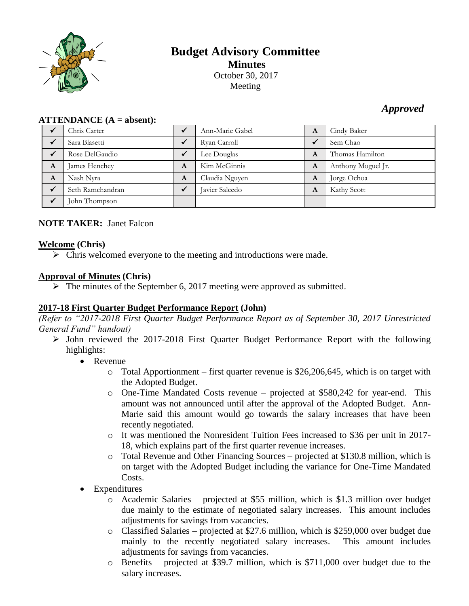

# **Budget Advisory Committee Minutes** October 30, 2017 Meeting

### *Approved*

| $\bf ATTENDANCE (A = absent):$ |                  |   |                 |              |                    |  |
|--------------------------------|------------------|---|-----------------|--------------|--------------------|--|
|                                | Chris Carter     |   | Ann-Marie Gabel | A            | Cindy Baker        |  |
|                                | Sara Blasetti    |   | Ryan Carroll    | $\checkmark$ | Sem Chao           |  |
|                                | Rose DelGaudio   |   | Lee Douglas     | A            | Thomas Hamilton    |  |
| A                              | James Henchey    | A | Kim McGinnis    | A            | Anthony Moguel Jr. |  |
| A                              | Nash Nyra        | A | Claudia Nguyen  | A            | Jorge Ochoa        |  |
|                                | Seth Ramchandran |   | Javier Salcedo  | A            | Kathy Scott        |  |
|                                | John Thompson    |   |                 |              |                    |  |

## **NOTE TAKER:** Janet Falcon

#### **Welcome (Chris)**

 $\triangleright$  Chris welcomed everyone to the meeting and introductions were made.

### **Approval of Minutes (Chris)**

 $\triangleright$  The minutes of the September 6, 2017 meeting were approved as submitted.

#### **2017-18 First Quarter Budget Performance Report (John)**

*(Refer to "2017-2018 First Quarter Budget Performance Report as of September 30, 2017 Unrestricted General Fund" handout)*

- $\triangleright$  John reviewed the 2017-2018 First Quarter Budget Performance Report with the following highlights:
	- Revenue
		- $\circ$  Total Apportionment first quarter revenue is \$26,206,645, which is on target with the Adopted Budget.
		- $\circ$  One-Time Mandated Costs revenue projected at \$580,242 for year-end. This amount was not announced until after the approval of the Adopted Budget. Ann-Marie said this amount would go towards the salary increases that have been recently negotiated.
		- o It was mentioned the Nonresident Tuition Fees increased to \$36 per unit in 2017- 18, which explains part of the first quarter revenue increases.
		- o Total Revenue and Other Financing Sources projected at \$130.8 million, which is on target with the Adopted Budget including the variance for One-Time Mandated Costs.
	- Expenditures
		- o Academic Salaries projected at \$55 million, which is \$1.3 million over budget due mainly to the estimate of negotiated salary increases. This amount includes adjustments for savings from vacancies.
		- o Classified Salaries projected at \$27.6 million, which is \$259,000 over budget due mainly to the recently negotiated salary increases. This amount includes adjustments for savings from vacancies.
		- o Benefits projected at \$39.7 million, which is \$711,000 over budget due to the salary increases.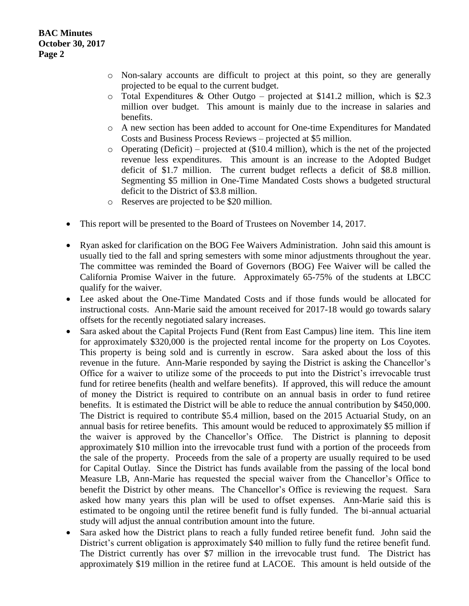- o Non-salary accounts are difficult to project at this point, so they are generally projected to be equal to the current budget.
- $\circ$  Total Expenditures & Other Outgo projected at \$141.2 million, which is \$2.3 million over budget. This amount is mainly due to the increase in salaries and benefits.
- o A new section has been added to account for One-time Expenditures for Mandated Costs and Business Process Reviews – projected at \$5 million.
- o Operating (Deficit) projected at (\$10.4 million), which is the net of the projected revenue less expenditures. This amount is an increase to the Adopted Budget deficit of \$1.7 million. The current budget reflects a deficit of \$8.8 million. Segmenting \$5 million in One-Time Mandated Costs shows a budgeted structural deficit to the District of \$3.8 million.
- o Reserves are projected to be \$20 million.
- This report will be presented to the Board of Trustees on November 14, 2017.
- Ryan asked for clarification on the BOG Fee Waivers Administration. John said this amount is usually tied to the fall and spring semesters with some minor adjustments throughout the year. The committee was reminded the Board of Governors (BOG) Fee Waiver will be called the California Promise Waiver in the future. Approximately 65-75% of the students at LBCC qualify for the waiver.
- Lee asked about the One-Time Mandated Costs and if those funds would be allocated for instructional costs. Ann-Marie said the amount received for 2017-18 would go towards salary offsets for the recently negotiated salary increases.
- Sara asked about the Capital Projects Fund (Rent from East Campus) line item. This line item for approximately \$320,000 is the projected rental income for the property on Los Coyotes. This property is being sold and is currently in escrow. Sara asked about the loss of this revenue in the future. Ann-Marie responded by saying the District is asking the Chancellor's Office for a waiver to utilize some of the proceeds to put into the District's irrevocable trust fund for retiree benefits (health and welfare benefits). If approved, this will reduce the amount of money the District is required to contribute on an annual basis in order to fund retiree benefits. It is estimated the District will be able to reduce the annual contribution by \$450,000. The District is required to contribute \$5.4 million, based on the 2015 Actuarial Study, on an annual basis for retiree benefits. This amount would be reduced to approximately \$5 million if the waiver is approved by the Chancellor's Office. The District is planning to deposit approximately \$10 million into the irrevocable trust fund with a portion of the proceeds from the sale of the property. Proceeds from the sale of a property are usually required to be used for Capital Outlay. Since the District has funds available from the passing of the local bond Measure LB, Ann-Marie has requested the special waiver from the Chancellor's Office to benefit the District by other means. The Chancellor's Office is reviewing the request. Sara asked how many years this plan will be used to offset expenses. Ann-Marie said this is estimated to be ongoing until the retiree benefit fund is fully funded. The bi-annual actuarial study will adjust the annual contribution amount into the future.
- Sara asked how the District plans to reach a fully funded retiree benefit fund. John said the District's current obligation is approximately \$40 million to fully fund the retiree benefit fund. The District currently has over \$7 million in the irrevocable trust fund. The District has approximately \$19 million in the retiree fund at LACOE. This amount is held outside of the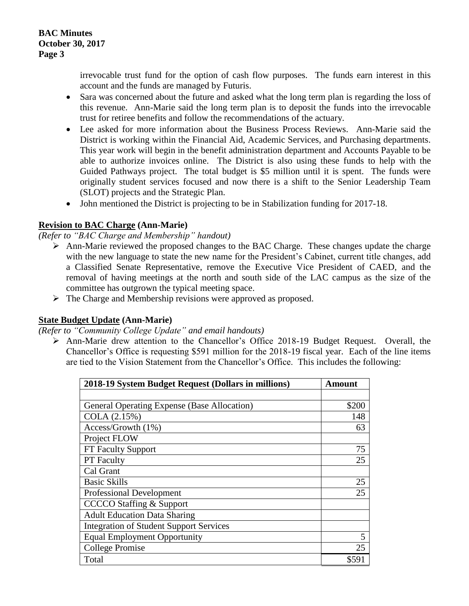irrevocable trust fund for the option of cash flow purposes. The funds earn interest in this account and the funds are managed by Futuris.

- Sara was concerned about the future and asked what the long term plan is regarding the loss of this revenue. Ann-Marie said the long term plan is to deposit the funds into the irrevocable trust for retiree benefits and follow the recommendations of the actuary.
- Lee asked for more information about the Business Process Reviews. Ann-Marie said the District is working within the Financial Aid, Academic Services, and Purchasing departments. This year work will begin in the benefit administration department and Accounts Payable to be able to authorize invoices online. The District is also using these funds to help with the Guided Pathways project. The total budget is \$5 million until it is spent. The funds were originally student services focused and now there is a shift to the Senior Leadership Team (SLOT) projects and the Strategic Plan.
- John mentioned the District is projecting to be in Stabilization funding for 2017-18.

#### **Revision to BAC Charge (Ann-Marie)**

*(Refer to "BAC Charge and Membership" handout)*

- $\triangleright$  Ann-Marie reviewed the proposed changes to the BAC Charge. These changes update the charge with the new language to state the new name for the President's Cabinet, current title changes, add a Classified Senate Representative, remove the Executive Vice President of CAED, and the removal of having meetings at the north and south side of the LAC campus as the size of the committee has outgrown the typical meeting space.
- $\triangleright$  The Charge and Membership revisions were approved as proposed.

#### **State Budget Update (Ann-Marie)**

*(Refer to "Community College Update" and email handouts)*

 Ann-Marie drew attention to the Chancellor's Office 2018-19 Budget Request. Overall, the Chancellor's Office is requesting \$591 million for the 2018-19 fiscal year. Each of the line items are tied to the Vision Statement from the Chancellor's Office. This includes the following:

| 2018-19 System Budget Request (Dollars in millions) | Amount |
|-----------------------------------------------------|--------|
|                                                     |        |
| General Operating Expense (Base Allocation)         | \$200  |
| COLA (2.15%)                                        | 148    |
| Access/Growth (1%)                                  | 63     |
| Project FLOW                                        |        |
| FT Faculty Support                                  | 75     |
| <b>PT</b> Faculty                                   | 25     |
| Cal Grant                                           |        |
| <b>Basic Skills</b>                                 | 25     |
| <b>Professional Development</b>                     | 25     |
| <b>CCCCO</b> Staffing & Support                     |        |
| <b>Adult Education Data Sharing</b>                 |        |
| <b>Integration of Student Support Services</b>      |        |
| <b>Equal Employment Opportunity</b>                 | 5      |
| <b>College Promise</b>                              | 25     |
| Total                                               | \$591  |